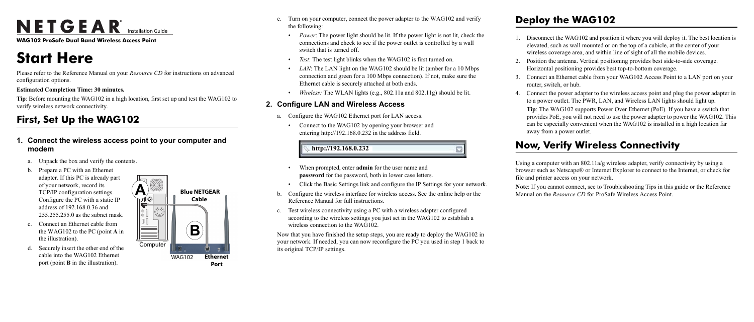# NETGEAR<sup>®</sup> Installation Guide

**WAG102 ProSafe Dual Band Wireless Access Point**

# **Start Here**

Please refer to the Reference Manual on your *Resource CD* for instructions on advanced configuration options.

#### **Estimated Completion Time: 30 minutes.**

**Tip**: Before mounting the WAG102 in a high location, first set up and test the WAG102 to verify wireless network connectivity.

## **First, Set Up the WAG102**

## **1. Connect the wireless access point to your computer and modem**

- a. Unpack the box and verify the contents.
- b. Prepare a PC with an Ethernet adapter. If this PC is already part of your network, record its TCP/IP configuration settings. Configure the PC with a static IP address of 192.168.0.36 and 255.255.255.0 as the subnet mask.
- c. Connect an Ethernet cable from the WAG102 to the PC (point **A** in the illustration).
- d. Securely insert the other end of the cable into the WAG102 Ethernet port (point **B** in the illustration).



- e. Turn on your computer, connect the power adapter to the WAG102 and verify the following:
	- *Power*: The power light should be lit. If the power light is not lit, check the connections and check to see if the power outlet is controlled by a wall switch that is turned off.
	- *Test*: The test light blinks when the WAG102 is first turned on.
	- LAN: The LAN light on the WAG102 should be lit (amber for a 10 Mbps connection and green for a 100 Mbps connection). If not, make sure the Ethernet cable is securely attached at both ends.
	- *Wireless:* The WLAN lights (e.g., 802.11a and 802.11g) should be lit.

Disconnect the WAG102 and position it where you will deploy it. The best location is elevated, such as wall mounted or on the top of a cubicle, at the center of your wireless coverage area, and within line of sight of all the mobile devices.

4. Connect the power adapter to the wireless access point and plug the power adapter in to a power outlet. The PWR, LAN, and Wireless LAN lights should light up.

## **2. Configure LAN and Wireless Access**

- a. Configure the WAG102 Ethernet port for LAN access.
	- Connect to the WAG102 by opening your browser and entering http://192.168.0.232 in the address field.

- When prompted, enter **admin** for the user name and **password** for the password, both in lower case letters.
- Click the Basic Settings link and configure the IP Settings for your network.
- b. Configure the wireless interface for wireless access. See the online help or the Reference Manual for full instructions.
- c. Test wireless connectivity using a PC with a wireless adapter configured according to the wireless settings you just set in the WAG102 to establish a wireless connection to the WAG102.

Now that you have finished the setup steps, you are ready to deploy the WAG102 in your network. If needed, you can now reconfigure the PC you used in step 1 back to its original TCP/IP settings.

**http://192.168.0.232**

## **Deploy the WAG102**

2. Position the antenna. Vertical positioning provides best side-to-side coverage. Horizontal positioning provides best top-to-bottom coverage.

3. Connect an Ethernet cable from your WAG102 Access Point to a LAN port on your

- 
- 
- router, switch, or hub.
	-

**Tip**: The WAG102 supports Power Over Ethernet (PoE). If you have a switch that provides PoE, you will not need to use the power adapter to power the WAG102. This can be especially convenient when the WAG102 is installed in a high location far away from a power outlet.

## **Now, Verify Wireless Connectivity**

Using a computer with an 802.11a/g wireless adapter, verify connectivity by using a browser such as Netscape® or Internet Explorer to connect to the Internet, or check for file and printer access on your network.

**Note**: If you cannot connect, see to Troubleshooting Tips in this guide or the Reference Manual on the *Resource CD* for ProSafe Wireless Access Point.